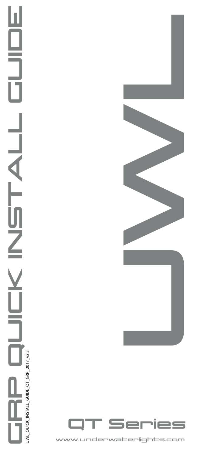# GRP QUICK INSTALL GUIDE Ш Η TTY.  $\overline{Z}$  $\sim$ UWL\_QUICK\_INSTALL\_GUIDE\_QT\_GRP\_2017\_v2.3 UWL\_QUICK\_INSTALL\_GUIDE\_QT\_GRP\_2017\_v2.3

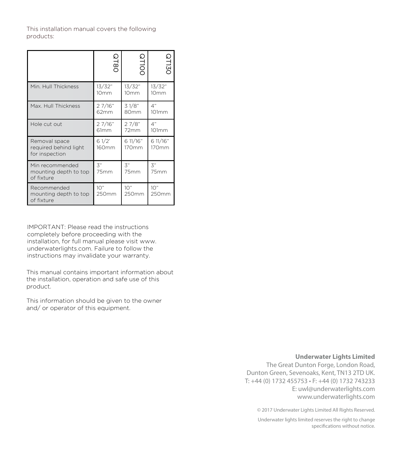This installation manual covers the following products:

|                                                          | <b>QT8C</b>                | <b>QT100</b>               | <b>QT13C</b>               |
|----------------------------------------------------------|----------------------------|----------------------------|----------------------------|
| Min. Hull Thickness                                      | 13/32"<br>10 <sub>mm</sub> | 13/32"<br>10 <sub>mm</sub> | 13/32"<br>10 <sub>mm</sub> |
| Max. Hull Thickness                                      | 27/16"<br>62mm             | 31/8"<br>80mm              | 4"<br>101mm                |
| Hole cut out                                             | 27/16"<br>61mm             | 27/8"<br>72mm              | 4"<br>101mm                |
| Removal space<br>required behind light<br>for inspection | 61/2'<br>160mm             | 6 11/16"<br>170mm          | 6 11/16"<br>170mm          |
| Min recommended<br>mounting depth to top<br>of fixture   | $\mathfrak{Z}''$<br>75mm   | $\mathfrak{Z}^n$<br>75mm   | $\mathfrak{Z}''$<br>75mm   |
| Recommended<br>mounting depth to top<br>of fixture       | 10"<br>250mm               | 10"<br>250mm               | 10"<br>250mm               |

IMPORTANT: Please read the instructions completely before proceeding with the installation, for full manual please visit www. underwaterlights.com. Failure to follow the instructions may invalidate your warranty.

This manual contains important information about the installation, operation and safe use of this product.

This information should be given to the owner and/ or operator of this equipment.

#### **Underwater Lights Limited**

The Great Dunton Forge, London Road, Dunton Green, Sevenoaks, Kent, TN13 2TD UK. T: +44 (0) 1732 455753 • F: +44 (0) 1732 743233 E: uwl@underwaterlights.com www.underwaterlights.com

© 2017 Underwater Lights Limited All Rights Reserved.

Underwater lights limited reserves the right to change specifications without notice.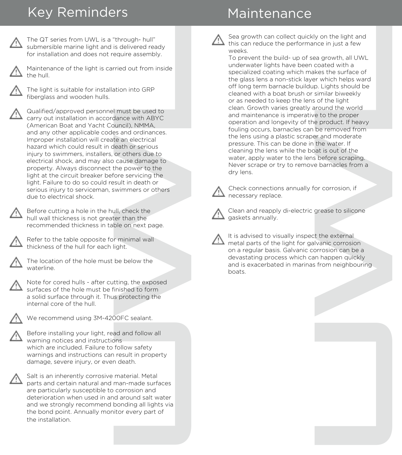## Key Reminders **Maintenance**



Maintenance of the light is carried out from inside the hull.

The light is suitable for installation into GRP fiberglass and wooden hulls.

"through-hull"<br>"is delivered ready<br>equire assembly.<br>Tried out from inside<br>ation into GRP<br>I must be used to<br>dance with ABYC<br>wuncil), NMMA,<br>es and ordinances.<br>te an electrical<br>or orbers due to<br>cause damage to<br>cause damage to Qualified/approved personnel must be used to carry out installation in accordance with ABYC (American Boat and Yacht Council), NMMA, and any other applicable codes and ordinances. Improper installation will create an electrical hazard which could result in death or serious injury to swimmers, installers, or others due to electrical shock, and may also cause damage to property. Always disconnect the power to the light at the circuit breaker before servicing the light. Failure to do so could result in death or serious injury to serviceman, swimmers or others due to electrical shock.

Before cutting a hole in the hull, check the hull wall thickness is not greater than the recommended thickness in table on next page.



Refer to the table opposite for minimal wall thickness of the hull for each light.



The location of the hole must be below the waterline.



Note for cored hulls - after cutting, the exposed surfaces of the hole must be finished to form a solid surface through it. Thus protecting the internal core of the hull.



We recommend using 3M-4200FC sealant.

Before installing your light, read and follow all warning notices and instructions which are included. Failure to follow safety warnings and instructions can result in property damage, severe injury, or even death.



Salt is an inherently corrosive material. Metal parts and certain natural and man-made surfaces are particularly susceptible to corrosion and deterioration when used in and around salt water and we strongly recommend bonding all lights via the bond point. Annually monitor every part of the installation.



Sea growth can collect quickly on the light and this can reduce the performance in just a few weeks.

y on the light and<br>toce in just a few<br>ea growth, all UWL<br>coated with a<br>kes the surface of<br>o. Lights should be<br>isimilar biweekly<br>of the light<br>or which helps wards for only to complement of the proper<br>expect of the moved fro To prevent the build- up of sea growth, all UWL underwater lights have been coated with a specialized coating which makes the surface of the glass lens a non-stick layer which helps ward off long term barnacle buildup. Lights should be cleaned with a boat brush or similar biweekly or as needed to keep the lens of the light clean. Growth varies greatly around the world and maintenance is imperative to the proper operation and longevity of the product. If heavy fouling occurs, barnacles can be removed from the lens using a plastic scraper and moderate pressure. This can be done in the water. If cleaning the lens while the boat is out of the water, apply water to the lens before scraping. Never scrape or try to remove barnacles from a dry lens.



Check connections annually for corrosion, if necessary replace.



Clean and reapply di-electric grease to silicone gaskets annually.

It is advised to visually inspect the external metal parts of the light for galvanic corrosion on a regular basis. Galvanic corrosion can be a devastating process which can happen quickly and is exacerbated in marinas from neighbouring boats.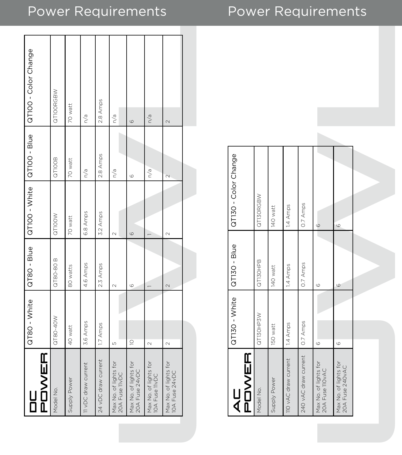# Power Requirements Power Requirements

| POWER<br>u<br>D                         | QT80 - White | QT80 - Blue   | QT100 - White GT100 - Blue |                         | GT100 - Color Change |
|-----------------------------------------|--------------|---------------|----------------------------|-------------------------|----------------------|
| Model No.                               | QT80-40W     | QT80-80 B     | QTIOOW                     | QTIOOB                  | QTIOORGBW            |
| Supply Power                            | 40 watt      | 80 watts      | 70 watt                    | 70 watt                 | 70 watt              |
| 11 vDC draw current                     | 3.6 Amps     | 4.6 Amps      | 6.8 Amps                   | $\frac{1}{\sqrt{2}}$    | n/a                  |
| 24 vDC draw current                     | 1.7 Amps     | 2.3 Amps      | 3.2 Amps                   | 2.8 Amps                | 2.8 Amps             |
| Max No. of lights for<br>20A Fuse IIVDC | 5            | $\mathcal{Q}$ | $\sim$                     | n/a                     | n/a                  |
| Max No. of lights for<br>20A Fuse 24vDC | $\supseteq$  | $\circ$       | $\circ$                    | $\circ$                 | $\circ$              |
| Max No. of lights for<br>10A Fuse 11vDC | $\sim$       |               |                            | n/a                     | n/a                  |
| Max No. of lights for<br>10A Fuse 24vDC | $\sim$       | 2             | $\mathcal{L}$              | $\overline{\mathsf{C}}$ | $\sim$               |
|                                         |              |               |                            |                         |                      |

| $ AC$<br>$ POWER $                       | QT130 - White | $QT130 - Blue$ | QT130 - Color Change |
|------------------------------------------|---------------|----------------|----------------------|
| Model No.                                | QTI3OHP3W     | QT130HPB       | QTI3ORGBW            |
| Supply Power                             | 150 watt      | 140 watt       | 140 watt             |
| 110 vAC draw current                     | 1.4 Amps      | 1.4 Amps       | 1.4 Amps             |
| 240 vAC draw current                     | 0.7 Amps      | 0.7 Amps       | 0.7 Amps             |
| Max No. of lights for<br>20A Fuse IIOVAC | $\circ$       | $\circ$        | $\circ$              |
| Max No. of lights for<br>20A Fuse 240vAC | $\circ$       | $\circ$        | $\circ$              |
|                                          |               |                |                      |
|                                          |               |                |                      |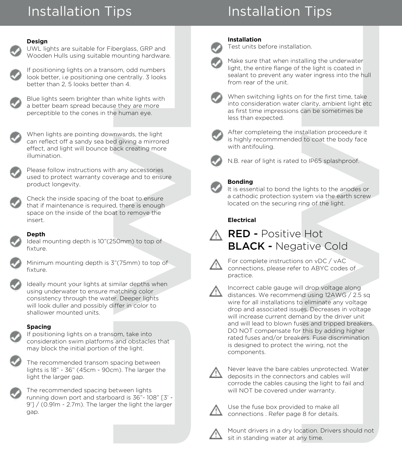# Installation Tips

# Installation Tips

#### **Design**



UWL lights are suitable for Fiberglass, GRP and Wooden Hulls using suitable mounting hardware.





Blue lights seem brighter than white lights with a better beam spread because they are more perceptible to the cones in the human eye.

When lights are pointing downwards, the light can reflect off a sandy sea bed giving a mirrored effect, and light will bounce back creating more illumination.

Please follow instructions with any accessories used to protect warranty coverage and to ensure product longevity.



Check the inside spacing of the boat to ensure that if maintenance is required, there is enough space on the inside of the boat to remove the insert.

## **Depth**

Ideal mounting depth is 10"(250mm) to top of fixture.



Minimum mounting depth is 3"(75mm) to top of fixture.



perglass, GRP and<br>mounting hardware.<br>
om, odd numbers<br>
e centrally. 3 looks<br>
han 4.<br>
white lights with<br>
e they are more<br>
e human eye.<br>
naman eye.<br>
naman eye.<br>
naman eye.<br>
naman eye.<br>
naman eye.<br>
naman eye.<br>
naman eye.<br>
nam Ideally mount your lights at similar depths when using underwater to ensure matching color consistency through the water. Deeper lights will look duller and possibly differ in color to shallower mounted units.

#### **Spacing**



If positioning lights on a transom, take into consideration swim platforms and obstacles that may block the initial portion of the light.

The recommended transom spacing between lights is 18" - 36" (45cm - 90cm). The larger the light the larger gap.



The recommended spacing between lights running down port and starboard is 36"- 108" [3' - 9'] / (0.91m - 2.7m). The larger the light the larger gap.



## **Installation**

Test units before installation.

Make sure that when installing the underwater light, the entire flange of the light is coated in sealant to prevent any water ingress into the hull from rear of the unit.



When switching lights on for the first time, take into consideration water clarity, ambient light etc as first time impressions can be sometimes be less than expected.



After completeing the installation proceedure it is highly recommmended to coat the body face with antifouling.



N.B. rear of light is rated to IP65 splashproof.

## **Bonding**

It is essential to bond the lights to the anodes or a cathodic protection system via the earth screw located on the securing ring of the light.

## **Electrical**





For complete instructions on vDC / vAC connections, please refer to ABYC codes of practice.



ion.<br>
alling the underwater<br>
the light is coated in<br>
ther ingress into the hull<br>
for the first time, take<br>
clarity, ambient light etc<br>
can be sometimes be<br>
tallation proceedure it<br>
to coat the body face<br>
to lP65 splashproo Incorrect cable gauge will drop voltage along distances. We recommend using 12AWG / 2.5 sq wire for all installations to eliminate any voltage drop and associated issues. Decreases in voltage will increase current demand by the driver unit and will lead to blown fuses and tripped breakers. DO NOT compensate for this by adding higher rated fuses and/or breakers. Fuse discrimination is designed to protect the wiring, not the components.



Never leave the bare cables unprotected. Water deposits in the connectors and cables will corrode the cables causing the light to fail and will NOT be covered under warranty.



Use the fuse box provided to make all connections . Refer page 8 for details.



Mount drivers in a dry location. Drivers should not sit in standing water at any time.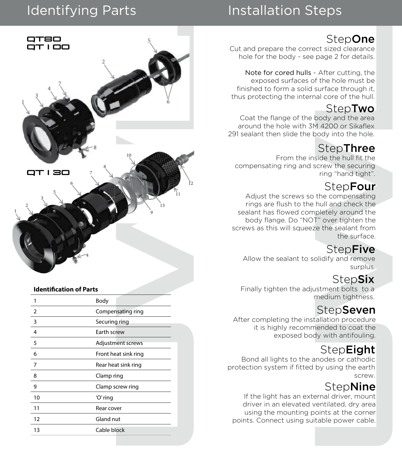# Identifying Parts

# Installation Steps

## **StepOne**

Cut and prepare the correct sized clearance hole for the body - see page 2 for details.

Note for cored hulls - After cutting, the exposed surfaces of the hole must be finished to form a solid surface through it, thus protecting the internal core of the hull.

## **StepTwo**

Coat the flange of the body and the area around the hole with 3M 4200 or Sikaflex 291 sealant then slide the body into the hole.

## **StepThree**

From the inside the hull fit the compensating ring and screw the securing ring "hand tight".

## **StepFour**

StepOne<br>
StepOne<br>
page 2 for details.<br>
After cutting, the<br>
ft the hole must be<br>
surface through it,<br>
all core of the hull.<br>
StepTwo<br>
body and the area<br>
4 4200 or Sikaflex<br>
body into the hole.<br>
StepThree<br>
side the hull fit Adjust the screws so the compensating rings are flush to the hull and check the sealant has flowed completely around the body flange. Do "NOT" over tighten the screws as this will squeeze the sealant from the surface.

## **StepFive**

Allow the sealant to solidify and remove surplus.

## **StepSix**

Finally tighten the adjustment bolts to a medium tightness.

## **StepSeven**

After completing the installation procedure it is highly recommended to coat the exposed body with antifouling.

## **StepEight**

Bond all lights to the anodes or cathodic protection system if fitted by using the earth screw.

## **StepNine**

If the light has an external driver, mount driver in an elevated ventilated, dry area using the mounting points at the corner points. Connect using suitable power cable.



### **Identification of Parts**

|    | Body                 |
|----|----------------------|
| 2  | Compensating ring    |
| 3  | Securing ring        |
| 4  | Earth screw          |
| 5  | Adjustment screws    |
| 6  | Front heat sink ring |
| 7  | Rear heat sink ring  |
| 8  | Clamp ring           |
| 9  | Clamp screw ring     |
| 10 | 'O' ring             |
| 11 | Rear cover           |
| 12 | Gland nut            |
| 13 | Cable block          |
|    |                      |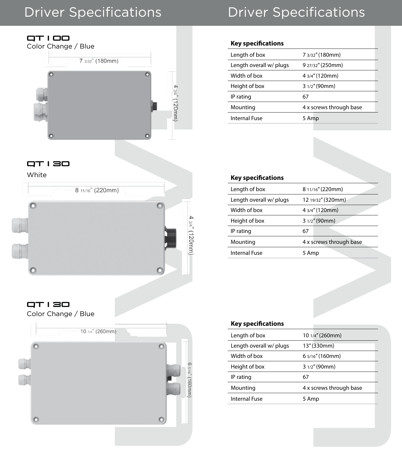## Driver Specifications

# Driver Specifications



## QT130



| 7 3/32" (180mm)         |
|-------------------------|
| 9 27/32" (250mm)        |
| 4 3/4" (120mm)          |
| 3 1/2" (90mm)           |
| 67                      |
| 4 x screws through base |
| 5 Amp                   |
|                         |

| Length of box                                                 | 7 3/32" (180mm)                  |
|---------------------------------------------------------------|----------------------------------|
| Length overall w/ plugs                                       | 9 27/32" (250mm)                 |
| Width of box                                                  | 4 3/4" (120mm)                   |
| Height of box                                                 | 3 1/2" (90mm)                    |
| IP rating                                                     | 67                               |
| Mounting                                                      | 4 x screws through base          |
| <b>Internal Fuse</b>                                          | 5 Amp                            |
|                                                               |                                  |
|                                                               |                                  |
|                                                               |                                  |
|                                                               |                                  |
|                                                               |                                  |
| Key specifications                                            |                                  |
| Length of box                                                 | 8 11/16" (220mm)                 |
| Length overall w/ plugs                                       | 12 19/32" (320mm)                |
| Width of box                                                  | 4 3/4" (120mm)                   |
| Height of box                                                 | 3 1/2" (90mm)                    |
| IP rating                                                     | 67                               |
|                                                               |                                  |
|                                                               | 4 x screws through base          |
|                                                               | 5 Amp                            |
|                                                               |                                  |
|                                                               |                                  |
|                                                               |                                  |
|                                                               |                                  |
|                                                               |                                  |
|                                                               |                                  |
| Mounting<br><b>Internal Fuse</b><br><b>Key specifications</b> |                                  |
| Length of box                                                 | 10 1/4" (260mm)                  |
| Length overall w/ plugs                                       | 13" (330mm)                      |
| Width of box                                                  | 6 5/16" (160mm)                  |
| Height of box                                                 | 3 1/2" (90mm)                    |
| IP rating                                                     | 67                               |
| Mounting<br><b>Internal Fuse</b>                              | 4 x screws through base<br>5 Amp |

## QT130

Color Change / Blue



### **Key specifications**

| Length of box           | 10 1/4" (260mm)         |
|-------------------------|-------------------------|
| Length overall w/ plugs | 13" (330mm)             |
| Width of box            | 6 5/16" (160mm)         |
| Height of box           | $31/2''$ (90mm)         |
| IP rating               | 67                      |
| Mounting                | 4 x screws through base |
| Internal Fuse           | 5 Amp                   |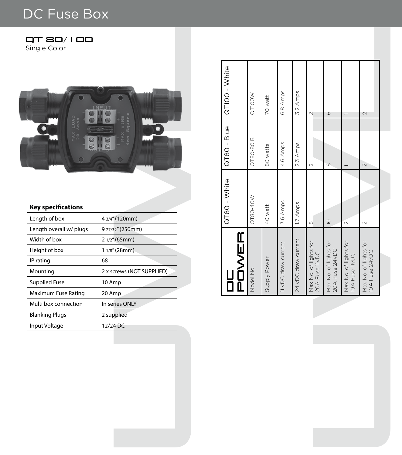# DC Fuse Box



## **Key specifications**

| T 80/ I 00<br>n<br>Single Color            |                           |
|--------------------------------------------|---------------------------|
| C                                          | NPUT<br>$\circ$           |
| <b>Key specifications</b><br>Length of box | 4 3/4" (120mm)            |
| Length overall w/ plugs                    | 9 27/32" (250mm)          |
| Width of box                               | 2 1/2" (65mm)             |
| Height of box                              | 1 1/8" (28mm)             |
| IP rating                                  | 68                        |
| Mounting                                   | 2 x screws (NOT SUPPLIED) |
| <b>Supplied Fuse</b>                       | 10 Amp                    |
| Maximum Fuse Rating                        | 20 Amp                    |
| Multi box connection                       | In series ONLY            |
| <b>Blanking Plugs</b>                      | 2 supplied                |
| Input Voltage                              | 12/24 DC                  |
|                                            |                           |
|                                            |                           |
|                                            |                           |
|                                            |                           |
|                                            |                           |
|                                            |                           |
|                                            |                           |
|                                            |                           |
|                                            |                           |
|                                            |                           |
|                                            |                           |

| u<br>D                                  | QT80 - White | GT80 - Blue | QT100 - White |
|-----------------------------------------|--------------|-------------|---------------|
| POWER                                   |              |             |               |
| Model No.                               | QT80-40W     | QT80-80B    | QTIOOW        |
| Supply Power                            | 40 watt      | 80 watts    | 70 watt       |
| 11 vDC draw current                     | 3.6 Amps     | 4.6 Amps    | 6.8 Amps      |
| 24 vDC draw current                     | 1.7 Amps     | 2.3 Amps    | 3.2 Amps      |
| Max No. of lights for<br>20A Fuse IIVDC | ഗ            | $\sim$      | $\sim$        |
| Max No. of lights for<br>20A Fuse 24vDC | $\supseteq$  | $\circ$     | G             |
| Max No. of lights for<br>10A Fuse IIVDC | $\sim$       |             |               |
| Max No. of lights for<br>10A Fuse 24VDC | $\sim$       | $\sim$      | $\mathcal{L}$ |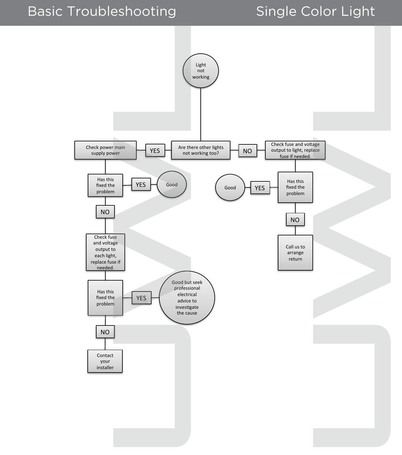# Basic Troubleshooting Single Color Light

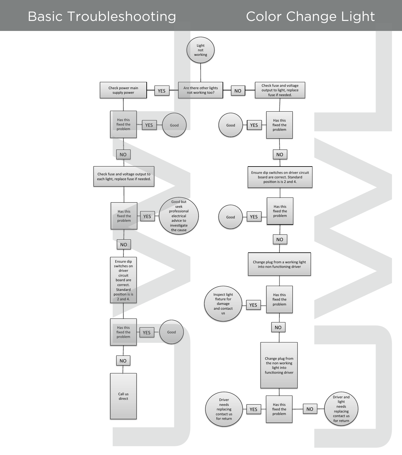## Basic Troubleshooting Color Change Light

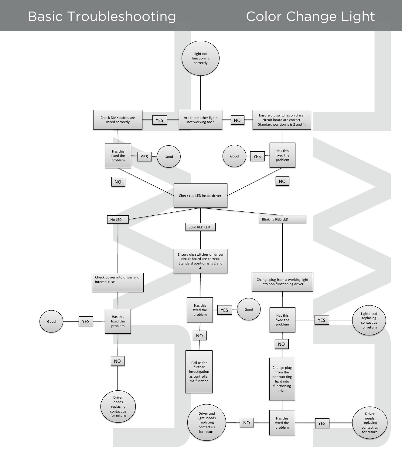![](_page_10_Figure_2.jpeg)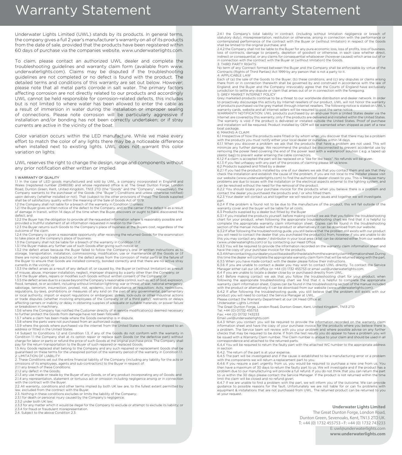## Warranty Statement

Underwater Lights Limited (UWL) stands by its products. In general terms, the company gives a full 2 year's manufacturer's warranty on all of its products from the date of sale, provided that the products have been registered within 60 days of purchase via the companies website, www.underwaterlights.com.

its products. In general terms,<br>St warranty on all of its products to two seem registered within<br>to the see the registered within<br>the www.underwaterlights.com.<br>W. dealer and complete the multiplication of the troubleshooti To claim, please contact an authorized UWL dealer and complete the troubleshooting guidelines and warranty claim form (available from www. underwaterlights.com). Claims may be disputed if the troubleshooting guidelines are not completed or no defect is found with the product. The detailed terms and conditions of this warranty are set out below. However; please note that all metal parts corrode in salt water. The primary factors affecting corrosion are not directly related to our products and accordingly UWL cannot be held responsible for corrosion-related defects, this includes but is not limited to where water has been allowed to enter the cable as a result of immersion in water during the installation or improper sealing of connections. Please note corrosion will be particularly aggressive if installation and/or bonding has not been correctly undertaken; or if stray currents are active in the vicinity of the boat.

Color variation occurs within the LED manufacture. While we make every effort to match the color of any lights there may be a noticeable difference when installed next to existing lights. UWL does not warrant this color variation on lights.

UWL reserves the right to change the design, range and components without any prior notification either written or implied.

#### 1: WARRANTY OF QUALITY

1.1 In the case of LED goods manufactured and sold by UWL, a company incorporated in England and Wales (registered number 2348038) and whose registered office is at The Great Dunton Forge, London Road, Dunton Green, Kent, United Kingdom, TN13 2TD (the "Goods" and the "Company", respectively), the Company warrants to the purchaser of the Goods (the "Buyer") Conditions and unless otherwise notified) upon delivery (whether installed or not). That (subject to the other provisions of these) The Goods supplied shall be of satisfactory quality within the meaning of the Sale of Goods Act of 1979.

1.2 the Company shall not liable for a breach of the warranty in Condition 1.1 unless: 1.2.1 the Buyer gives written notice of the defect to the Company, and to the carrier if the defect is as a result

of damage in transit, within 14 days of the time when the Buyer discovers or ought to have discovered the defect; and

1.2.2 the Buyer has the obligation to provide all the requested information where is reasonably possible and provided a truthful statement of all information requested in relation to the claim. 1.2.3 the Buyer returns such Goods to the Company's place of business at the Buyers cost, regardless of the

outcome of the claim. 1.2.4 the Company is given a reasonable opportunity after receiving the returned Goods for the examination

to take place at the company's place of business.<br>1.3 the Company shall not be liable for a breach of the warranty in Condition 1.1 if:<br>1.3.1 the Buyer makes any further use of such Goods after giving such notice; or

1.3.2 the defect arises because the Buyer failed to follow the Company's oral or written instructions as to storage, transportation, installation, commissioning, modification, use or maintenance of the Goods or (if there are none) good trade practice; or the defect arises from the corrosion of metal parts or the failure of the Buyer to ensure that Goods are installed correctly, bonded correctly and that there are no active stray currents in the vicinity; or

1.3.3 the defect arises as a result of any default of, or caused by, the Buyer or (without limitation) as a result of misuse, abuse, improper installation, neglect, improper shipping by a party other than the Company; or 1.3.4 the Buyer alters, repairs or modifies such Goods without written consent of the Company; or

1.3.5 the defect arises due to a cause beyond the Company's reasonable control, such as: act of God, explosion,<br>flood, tempest, re or accident, including without limitation lightning; war or threat of war, national emergen sabotage, terrorism, insurrection, protest, riot, epidemic, civil disturbance or requisition; Acts, restrictions, regulations, by-laws, prohibitions or measures of any kind on the part of any governmental, parliamentary or local authority; import or export regulations or embargoes; strikes, lock-outs or other industrial actions or trade disputes (whether involving employees of the Company or of a third party); restraints or delays affecting carriers or inability or delay in obtaining supplies of adequate or suitable materials; or power failure or breakdown in machinery.

1.3.6 where the Company has notified the Customer directly of in service modification(s) deemed necessary

to further protect the Goods from damage have not been followed. 1.3.7 where a claim has been made where the Goods ownership is in dispute.

1.3.8 where a claim has been made where the clocus ownership is in

1.3.9 where the goods where purchased via the internet from the United States but were not shipped to an address or fitted in the United States.

1.4 Subject to Conditions 1.2 and Condition 1.3, if any of the Goods do not conform with the warranty in Condition 1.1 the Company shall at its option repair or replace such Goods (or the defective part) without charge for labor or parts or refund the price of such Goods at the original purchase price. The Company shall pay for the return transportation to the Buyer of such repaired or replaced Goods.

1.5 Any Goods replaced shall belong to the Company and any such repaired or replacement Goods shall be guaranteed on these terms for the unexpired portion of the warranty period of the warranty in Condition 1.1. 2: LIMITATION OF LIABILITY

2. These Conditions set out the entire financial liability of the Company (including any liability for the acts or omissions of its employees, agents and sub-contractors) to the Buyer in respect of: 2.1.1 any breach of these Conditions;

2.1.2 any defect in the Goods; 2.1.3 any use made or resale by the Buyer of any Goods, or of any product incorporating any of Goods; and 2.1.4 any representation, statement or tortuous act or omission including negligence arising or in connection with the contract with the Buyer.

2.2 All warranty, conditions and other terms implied by both UK law are, to the fullest extent permitted by

law, excluded from the contract with the Buyer. 2.3. Nothing in these conditions excludes or limits the liability of the Company;

2.3.1 for death or personal injury caused by the Company's negligence; 2.3.2 under both UK law;

2.3.3 for any matter which it would be illegal for the Company to exclude or attempt to exclude its liability; or 2.3.4 for fraud or fraudulent misrepresentation. 2.4. Subject to the above Condition 2.3:

## Warranty Statement

2.4.1 the Company's total liability in contract, (including without limitation negligence or breach of<br>statutory duty), misrepresentation, restitution or otherwise, arising in connection with the performance or<br>contemplate shall be limited to the original purchase; and

2.4.2 the Company shall not be liable to the Buyer for any pure economic loss, loss of profits, loss of business, loss of contracts, damage to property, depletion of goodwill or otherwise, in each case whether direct, indirect or consequential, or any claims for consequential whatsoever (however caused) which arise out of or in connection with the contract with the Buyer or (without limitation) the Goods. 3: THIRD PARTY RIGHTS

No term of any Contract formed between the Buyer and the Company shall be enforceable by virtue of the Contracts (Rights of Third Parties) Act 1999 by any person that is not a party to it.

4: APPLICABLE LAW Each of (a) the sale of the Goods to the Buyer, (b) these conditions, and (c) any disputes or claims arising there from or in connection therewith shall be governed by and construed in accordance with the law of England; and the Buyer and the Company irrevocably agree that the Courts of England have exclusively jurisdiction to settle any dispute or claim that arises out of or in connection with the foregoing. 5: GREY MARKET INTERNET POLICY

Grey marketed products continue to be a threat to our worldwide distribution and dealer network. In order to proactively discourage this activity by Internet resellers of our product, UWL will not honor the warranty of products purchased via the grey market through internet resellers. The following notice is stated on UWL's

warranty cards, website and all internet sellers will be required to post the same notice.<br>WARRANTY NOTIFICATION: UWL products purchased by an end-user from a United States dealer via the<br>Internet are covered by this warra The warranty is void if the product is delivered or installed outside the United States. Proof of purchase and installation will be required. Product installed by OEM will be warranted when shipped as part of a new boat package. 6: MAKING A CLAIM

6.1 Irrespective of how the products were fitted or by whom when you discover that there may be a problem on mespective or now the products were nited or by whom when you discover that the with the products you must notify either your local dealer or ourselves within 14 days.

6.1.1 When you discover a problem we ask that the products that have a problem are not used. This will minimize any further damage. We recommend the product be disconnected to prevent accidental use by<br>removing the power feed covering the end of the power lead with a waterproof solution ( e.g. a taped up<br>plastic bag) to pre

6.1.2 If a claim is accepted the part will be replaced on a "like for like basis". No refunds will be given. 6.1.3 If you feel unhappy with any part of the process of claiming please let us know.

6.2 Products supplied and fitted by a dealer 6.2.1 If you had the products installed by one of our dealers we ask that you contact them and ask that they check the installation and establish the cause of the problem. If you are not local to the installer please visit our website (www.underwaterlights.com) to find the authorized dealer closest to you. This is because many problems are due to issues with the installation or the electrical aspects external to the lighting system, and can be resolved without the need for the removal of the product.

6.2.2 You should locate your purchase invoice for the products when you believe there is a problem and contact the dealer you purchased the products and / or who fitted them.

6.2.3 Your dealer will contact us and together we will resolve your issues and together we will investigate.

part. 6.2.4 If the problem is found not to be due to the manufacture of the product, this will fall outside of the warranty cover and the buyer will be liable for all costs.

6.3 Products supplied by a dealer but fitted by the Buyer

6.3.1 If you installed the products yourself, before making contact we ask that you follow the troubleshooting chart for your product, when following the appropriate troubleshooting chart we find that it is helpful to complete the appropriate warranty claim information sheet. Copies can be found in the troubleshooting section of the manual included with the product or alternatively it can be download from our website. 6.3.2 If after following the troubleshooting guide, you still believe that the problem still exists with our product

you will need to contact the dealer that you purchased the product(s) from, however if you are unable to do this you may contact any dealer / distributor in your local area (a list can be obtained either from our website

(www.underwaterlights.com) or by contacting our Head Office. 6.3.3 You will be required to provide the information recorded on the warranty claim information sheet and have the copy of your purchase invoice for the products. 6.3.4 When contacting your dealer you will be asked for the details from the warranty claim information sheet. During

this time the dealer will complete the appropriate warranty claim form that will be returned along with the part. 6.3.5 When you have made contact with the dealer please follow their instructions.

6.3.6 If you are unable to contact a dealer you may wish to contact UWL directly. To contact the Service Manager either call our UK office on +44 (0) 1732 455753 or email uwl@underwaterlights.com.

6.4 If you are unable to locate a dealer close by or purchased directly from UWL.

6.4.1 Before making contact we ask that you follow the troubleshooting chart for your product, when following the appropriate troubleshooting chart we find that it is helpful to complete the appropriate warranty claim information sheet. Copies can be found in the troubleshooting section of the manual included with the product or alternatively it can be download from our website (www.underwaterlights.com).

6.4.2 If after following the troubleshooting guide, you still believe that the problem still exists with our product you will need to contact the Service Manager at UWL.

Please contact the Warranty Department at our UK Head Office at:

Underwater Lights Limited The Great Dunton Forge, London Road, Dunton Green, Kent, United Kingdom, TN13 2TD Tel: +44 (0) 01732 455753

Fax: +44 (0) 01732 743233

without limitation negligence or beach of<br>sing in connection with the performance or<br>sing in connection with the performance or<br>consider in connection with the performance or<br>consider the Goods<br>connection in expect of the Email uwl@underwaterlights.com 6.4.3 When you contact you will be required to provide the information recorded on the warranty claim information sheet and have the copy of your purchase invoice for the products where you believe there is a problem. The Service team will review with you your problem and where possible advise on any further necks that may be required to be done. If from the test results you do appear to have a problem you will be issued with a Warranty Claim number. The Claim number is unique to your claim and should be used in all correspondence and attached to the returned parts.

6.4.4 You will be required to return the faulty part with the attached WC number to the appropriate address in section

6.4.2. The return of the part is at your expense.

6.4.5 The part will be investigated and if the cause is established to be a manufacturing error or a problem with the components we will return a replacement part to you.

6.4.6 If you require a part urgently from us, you would be required to purchase a new one from us. You then have a maximum of 30 days to return the faulty part to us. We will investigate and if the product has a problem due to our manufacturing will provide a full refund. If you do not think that you can return the part to us within the 30 days please contact the Service Manager. If the product is not returned within the time limit the claim will be closed and no refund given. 6.4.7 If we are unable to find a problem with the part, we will inform you of the outcome. We can provide

guidance to possible reasons for the fault. Unfortunately we are not liable for or can fix problems with equipment & installations that are not purchased from UWL. The returned product can be returned to you at your request.

#### **Underwater Lights Limited**

The Great Dunton Forge, London Road, Dunton Green, Sevenoaks, Kent, TN13 2TD UK. T: +44 (0) 1732 455753 • F: +44 (0) 1732 743233 E: uwl@underwaterlights.com **www.underwaterlights.com**